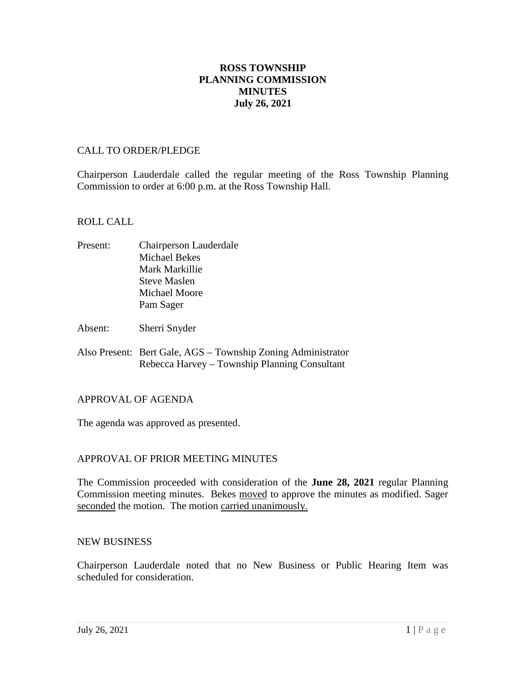## **ROSS TOWNSHIP PLANNING COMMISSION MINUTES July 26, 2021**

#### CALL TO ORDER/PLEDGE

Chairperson Lauderdale called the regular meeting of the Ross Township Planning Commission to order at 6:00 p.m. at the Ross Township Hall.

#### ROLL CALL

- Present: Chairperson Lauderdale Michael Bekes Mark Markillie Steve Maslen Michael Moore Pam Sager
- Absent: Sherri Snyder
- Also Present: Bert Gale, AGS Township Zoning Administrator Rebecca Harvey – Township Planning Consultant

#### APPROVAL OF AGENDA

The agenda was approved as presented.

## APPROVAL OF PRIOR MEETING MINUTES

The Commission proceeded with consideration of the **June 28, 2021** regular Planning Commission meeting minutes. Bekes moved to approve the minutes as modified. Sager seconded the motion. The motion carried unanimously.

#### NEW BUSINESS

Chairperson Lauderdale noted that no New Business or Public Hearing Item was scheduled for consideration.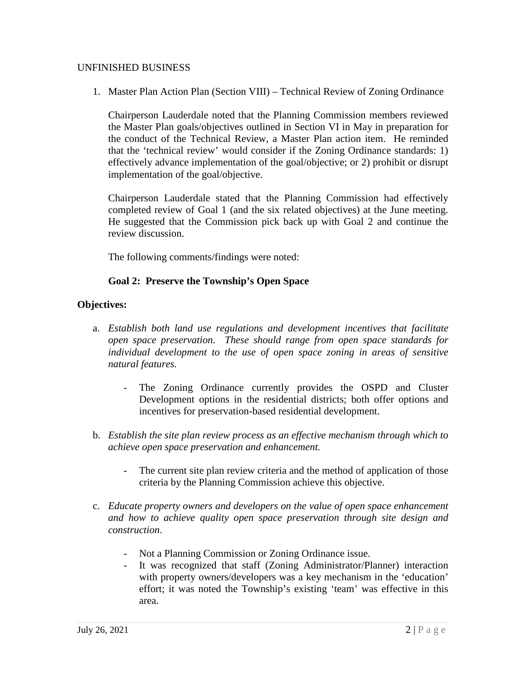#### UNFINISHED BUSINESS

1. Master Plan Action Plan (Section VIII) – Technical Review of Zoning Ordinance

Chairperson Lauderdale noted that the Planning Commission members reviewed the Master Plan goals/objectives outlined in Section VI in May in preparation for the conduct of the Technical Review, a Master Plan action item. He reminded that the 'technical review' would consider if the Zoning Ordinance standards: 1) effectively advance implementation of the goal/objective; or 2) prohibit or disrupt implementation of the goal/objective.

Chairperson Lauderdale stated that the Planning Commission had effectively completed review of Goal 1 (and the six related objectives) at the June meeting. He suggested that the Commission pick back up with Goal 2 and continue the review discussion.

The following comments/findings were noted:

## **Goal 2: Preserve the Township's Open Space**

- a. *Establish both land use regulations and development incentives that facilitate open space preservation. These should range from open space standards for individual development to the use of open space zoning in areas of sensitive natural features.*
	- The Zoning Ordinance currently provides the OSPD and Cluster Development options in the residential districts; both offer options and incentives for preservation-based residential development.
- b. *Establish the site plan review process as an effective mechanism through which to achieve open space preservation and enhancement.*
	- The current site plan review criteria and the method of application of those criteria by the Planning Commission achieve this objective.
- c. *Educate property owners and developers on the value of open space enhancement and how to achieve quality open space preservation through site design and construction*.
	- Not a Planning Commission or Zoning Ordinance issue.
	- It was recognized that staff (Zoning Administrator/Planner) interaction with property owners/developers was a key mechanism in the 'education' effort; it was noted the Township's existing 'team' was effective in this area.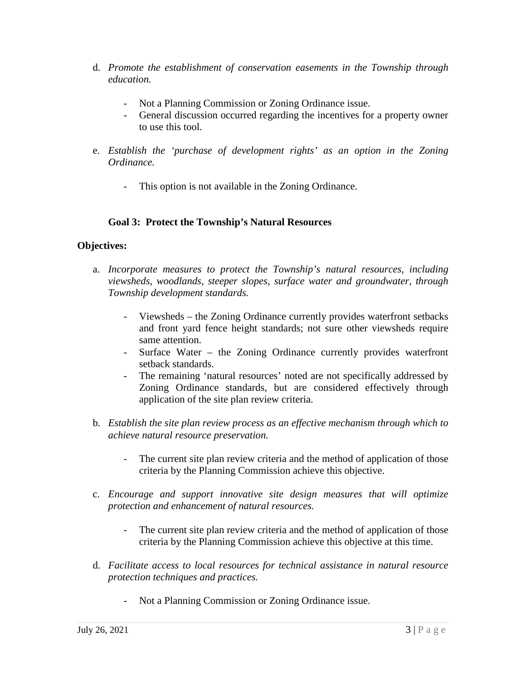- d. *Promote the establishment of conservation easements in the Township through education.*
	- Not a Planning Commission or Zoning Ordinance issue.
	- General discussion occurred regarding the incentives for a property owner to use this tool.
- e. *Establish the 'purchase of development rights' as an option in the Zoning Ordinance.*
	- This option is not available in the Zoning Ordinance.

## **Goal 3: Protect the Township's Natural Resources**

- a. *Incorporate measures to protect the Township's natural resources, including viewsheds, woodlands, steeper slopes, surface water and groundwater, through Township development standards.*
	- Viewsheds the Zoning Ordinance currently provides waterfront setbacks and front yard fence height standards; not sure other viewsheds require same attention.
	- Surface Water the Zoning Ordinance currently provides waterfront setback standards.
	- The remaining 'natural resources' noted are not specifically addressed by Zoning Ordinance standards, but are considered effectively through application of the site plan review criteria.
- b. *Establish the site plan review process as an effective mechanism through which to achieve natural resource preservation.*
	- The current site plan review criteria and the method of application of those criteria by the Planning Commission achieve this objective.
- c. *Encourage and support innovative site design measures that will optimize protection and enhancement of natural resources.*
	- The current site plan review criteria and the method of application of those criteria by the Planning Commission achieve this objective at this time.
- d. *Facilitate access to local resources for technical assistance in natural resource protection techniques and practices.*
	- Not a Planning Commission or Zoning Ordinance issue.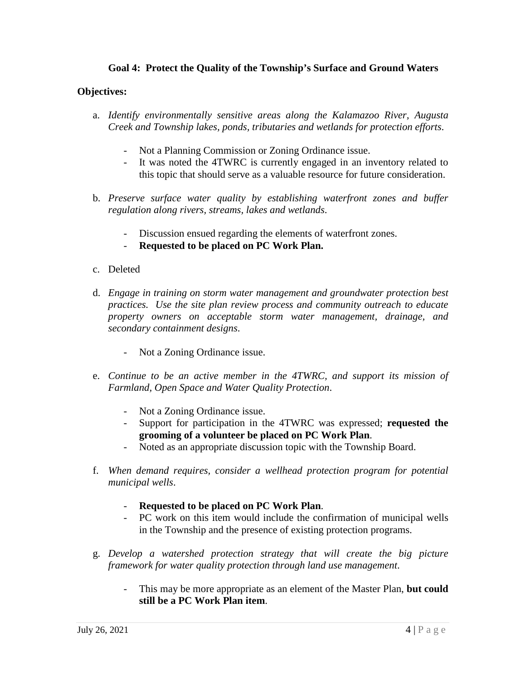## **Goal 4: Protect the Quality of the Township's Surface and Ground Waters**

- a. *Identify environmentally sensitive areas along the Kalamazoo River, Augusta Creek and Township lakes, ponds, tributaries and wetlands for protection efforts*.
	- Not a Planning Commission or Zoning Ordinance issue.
	- It was noted the 4TWRC is currently engaged in an inventory related to this topic that should serve as a valuable resource for future consideration.
- b. *Preserve surface water quality by establishing waterfront zones and buffer regulation along rivers, streams, lakes and wetlands*.
	- Discussion ensued regarding the elements of waterfront zones.
	- **Requested to be placed on PC Work Plan.**
- c. Deleted
- d. *Engage in training on storm water management and groundwater protection best practices. Use the site plan review process and community outreach to educate property owners on acceptable storm water management, drainage, and secondary containment designs*.
	- Not a Zoning Ordinance issue.
- e. *Continue to be an active member in the 4TWRC, and support its mission of Farmland, Open Space and Water Quality Protection*.
	- Not a Zoning Ordinance issue.
	- Support for participation in the 4TWRC was expressed; **requested the grooming of a volunteer be placed on PC Work Plan**.
	- Noted as an appropriate discussion topic with the Township Board.
- f. *When demand requires, consider a wellhead protection program for potential municipal wells*.
	- **Requested to be placed on PC Work Plan**.
	- PC work on this item would include the confirmation of municipal wells in the Township and the presence of existing protection programs.
- g. *Develop a watershed protection strategy that will create the big picture framework for water quality protection through land use management*.
	- This may be more appropriate as an element of the Master Plan, **but could still be a PC Work Plan item**.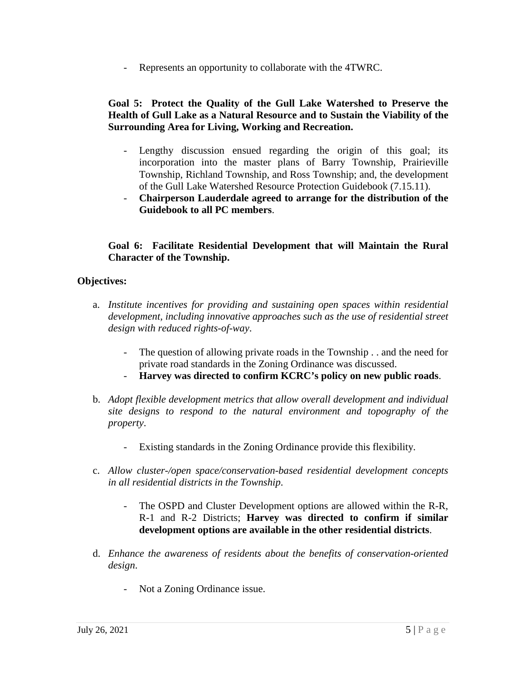Represents an opportunity to collaborate with the 4TWRC.

## **Goal 5: Protect the Quality of the Gull Lake Watershed to Preserve the Health of Gull Lake as a Natural Resource and to Sustain the Viability of the Surrounding Area for Living, Working and Recreation.**

- Lengthy discussion ensued regarding the origin of this goal; its incorporation into the master plans of Barry Township, Prairieville Township, Richland Township, and Ross Township; and, the development of the Gull Lake Watershed Resource Protection Guidebook (7.15.11).
- **Chairperson Lauderdale agreed to arrange for the distribution of the Guidebook to all PC members**.

## **Goal 6: Facilitate Residential Development that will Maintain the Rural Character of the Township.**

- a. *Institute incentives for providing and sustaining open spaces within residential development, including innovative approaches such as the use of residential street design with reduced rights-of-way*.
	- The question of allowing private roads in the Township . . and the need for private road standards in the Zoning Ordinance was discussed.
	- **Harvey was directed to confirm KCRC's policy on new public roads**.
- b. *Adopt flexible development metrics that allow overall development and individual site designs to respond to the natural environment and topography of the property*.
	- Existing standards in the Zoning Ordinance provide this flexibility.
- c. *Allow cluster-/open space/conservation-based residential development concepts in all residential districts in the Township*.
	- The OSPD and Cluster Development options are allowed within the R-R, R-1 and R-2 Districts; **Harvey was directed to confirm if similar development options are available in the other residential districts**.
- d. *Enhance the awareness of residents about the benefits of conservation-oriented design*.
	- Not a Zoning Ordinance issue.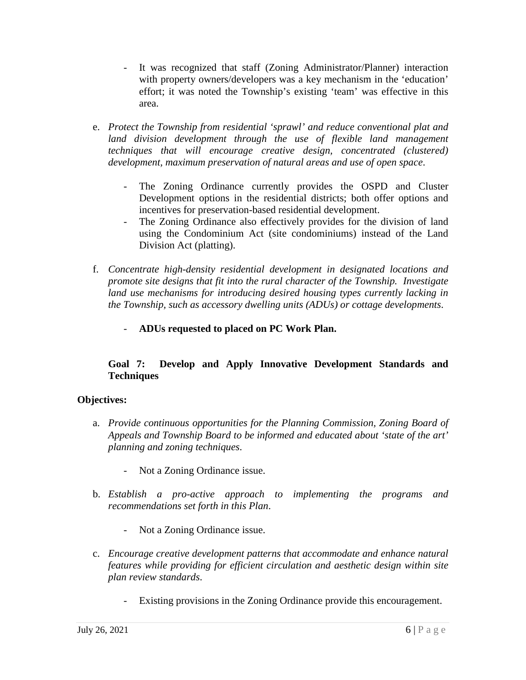- It was recognized that staff (Zoning Administrator/Planner) interaction with property owners/developers was a key mechanism in the 'education' effort; it was noted the Township's existing 'team' was effective in this area.
- e. *Protect the Township from residential 'sprawl' and reduce conventional plat and*  land division development through the use of flexible land management *techniques that will encourage creative design, concentrated (clustered) development, maximum preservation of natural areas and use of open space*.
	- The Zoning Ordinance currently provides the OSPD and Cluster Development options in the residential districts; both offer options and incentives for preservation-based residential development.
	- The Zoning Ordinance also effectively provides for the division of land using the Condominium Act (site condominiums) instead of the Land Division Act (platting).
- f. *Concentrate high-density residential development in designated locations and promote site designs that fit into the rural character of the Township. Investigate land use mechanisms for introducing desired housing types currently lacking in the Township, such as accessory dwelling units (ADUs) or cottage developments*.
	- **ADUs requested to placed on PC Work Plan.**

# **Goal 7: Develop and Apply Innovative Development Standards and Techniques**

- a. *Provide continuous opportunities for the Planning Commission, Zoning Board of Appeals and Township Board to be informed and educated about 'state of the art' planning and zoning techniques*.
	- Not a Zoning Ordinance issue.
- b. *Establish a pro-active approach to implementing the programs and recommendations set forth in this Plan*.
	- Not a Zoning Ordinance issue.
- c. *Encourage creative development patterns that accommodate and enhance natural features while providing for efficient circulation and aesthetic design within site plan review standards*.
	- Existing provisions in the Zoning Ordinance provide this encouragement.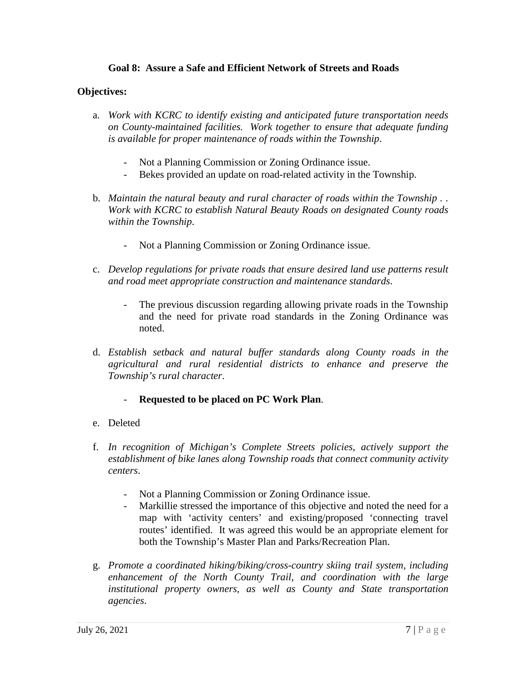## **Goal 8: Assure a Safe and Efficient Network of Streets and Roads**

## **Objectives:**

- a. *Work with KCRC to identify existing and anticipated future transportation needs on County-maintained facilities. Work together to ensure that adequate funding is available for proper maintenance of roads within the Township*.
	- Not a Planning Commission or Zoning Ordinance issue.
	- Bekes provided an update on road-related activity in the Township.
- b. *Maintain the natural beauty and rural character of roads within the Township.. Work with KCRC to establish Natural Beauty Roads on designated County roads within the Township*.
	- Not a Planning Commission or Zoning Ordinance issue.
- c. *Develop regulations for private roads that ensure desired land use patterns result and road meet appropriate construction and maintenance standards*.
	- The previous discussion regarding allowing private roads in the Township and the need for private road standards in the Zoning Ordinance was noted.
- d. *Establish setback and natural buffer standards along County roads in the agricultural and rural residential districts to enhance and preserve the Township's rural character*.

## - **Requested to be placed on PC Work Plan**.

- e. Deleted
- f. *In recognition of Michigan's Complete Streets policies, actively support the establishment of bike lanes along Township roads that connect community activity centers*.
	- Not a Planning Commission or Zoning Ordinance issue.
	- Markillie stressed the importance of this objective and noted the need for a map with 'activity centers' and existing/proposed 'connecting travel routes' identified. It was agreed this would be an appropriate element for both the Township's Master Plan and Parks/Recreation Plan.
- g. *Promote a coordinated hiking/biking/cross-country skiing trail system, including enhancement of the North County Trail, and coordination with the large institutional property owners, as well as County and State transportation agencies*.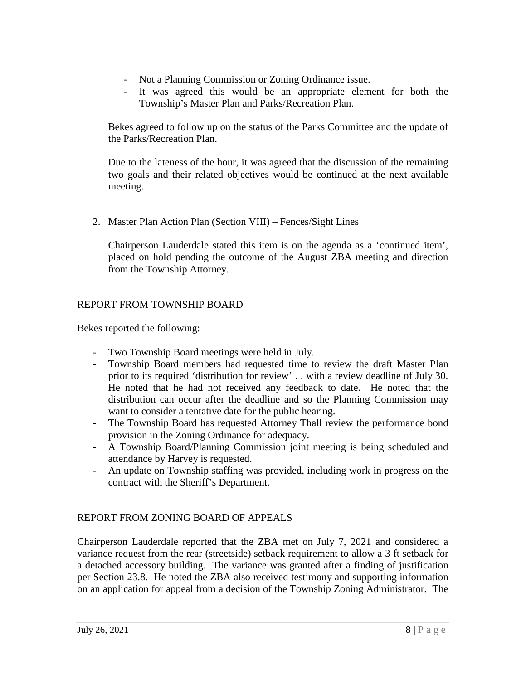- Not a Planning Commission or Zoning Ordinance issue.
- It was agreed this would be an appropriate element for both the Township's Master Plan and Parks/Recreation Plan.

Bekes agreed to follow up on the status of the Parks Committee and the update of the Parks/Recreation Plan.

Due to the lateness of the hour, it was agreed that the discussion of the remaining two goals and their related objectives would be continued at the next available meeting.

2. Master Plan Action Plan (Section VIII) – Fences/Sight Lines

Chairperson Lauderdale stated this item is on the agenda as a 'continued item', placed on hold pending the outcome of the August ZBA meeting and direction from the Township Attorney.

## REPORT FROM TOWNSHIP BOARD

Bekes reported the following:

- Two Township Board meetings were held in July.
- Township Board members had requested time to review the draft Master Plan prior to its required 'distribution for review' . . with a review deadline of July 30. He noted that he had not received any feedback to date. He noted that the distribution can occur after the deadline and so the Planning Commission may want to consider a tentative date for the public hearing.
- The Township Board has requested Attorney Thall review the performance bond provision in the Zoning Ordinance for adequacy.
- A Township Board/Planning Commission joint meeting is being scheduled and attendance by Harvey is requested.
- An update on Township staffing was provided, including work in progress on the contract with the Sheriff's Department.

# REPORT FROM ZONING BOARD OF APPEALS

Chairperson Lauderdale reported that the ZBA met on July 7, 2021 and considered a variance request from the rear (streetside) setback requirement to allow a 3 ft setback for a detached accessory building. The variance was granted after a finding of justification per Section 23.8. He noted the ZBA also received testimony and supporting information on an application for appeal from a decision of the Township Zoning Administrator. The